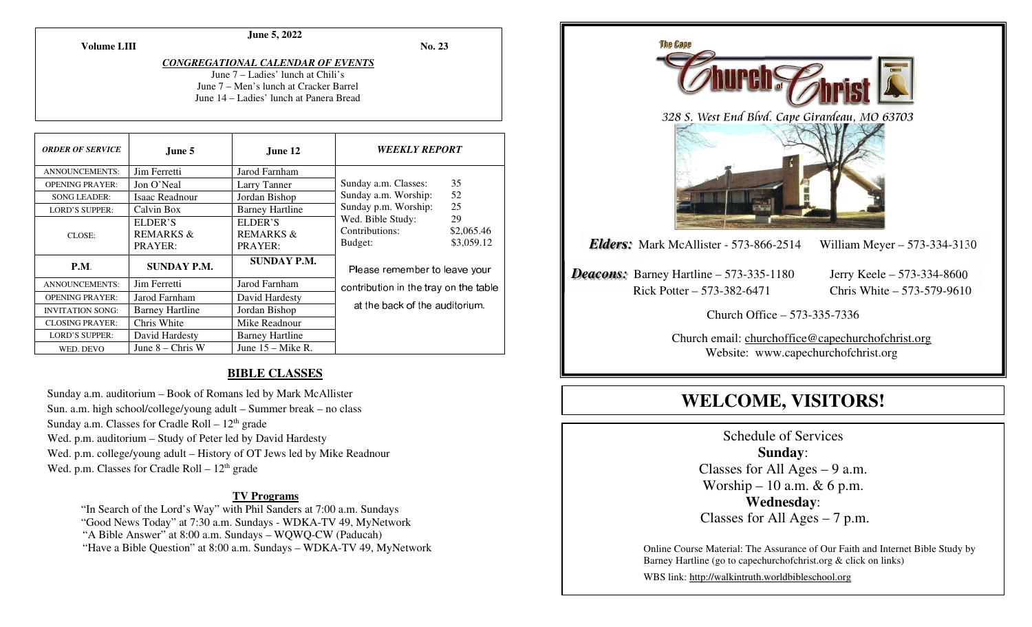# **June 5, 2022**

**No. 23** 

*CONGREGATIONAL CALENDAR OF EVENTS* 

June 7 – Ladies' lunch at Chili's June 7 – Men's lunch at Cracker Barrel June 14 – Ladies' lunch at Panera Bread

| <b>ORDER OF SERVICE</b> | June 5                 | June 12                | <i><b>WEEKLY REPORT</b></i>                                             |            |
|-------------------------|------------------------|------------------------|-------------------------------------------------------------------------|------------|
| ANNOUNCEMENTS:          | Jim Ferretti           | Jarod Farnham          |                                                                         |            |
| <b>OPENING PRAYER:</b>  | Jon O'Neal             | Larry Tanner           | Sunday a.m. Classes:                                                    | 35         |
| <b>SONG LEADER:</b>     | Isaac Readnour         | Jordan Bishop          | Sunday a.m. Worship:                                                    | 52         |
| <b>LORD'S SUPPER:</b>   | Calvin Box             | <b>Barney Hartline</b> | 25<br>Sunday p.m. Worship:                                              |            |
| CLOSE:                  | ELDER'S                | ELDER'S                | Wed. Bible Study:                                                       | 29         |
|                         | <b>REMARKS &amp;</b>   | <b>REMARKS &amp;</b>   | Contributions:                                                          | \$2,065.46 |
|                         | PRAYER:                | PRAYER:                | Budget:                                                                 | \$3,059.12 |
| <b>P.M.</b>             | <b>SUNDAY P.M.</b>     | <b>SUNDAY P.M.</b>     | Please remember to leave your                                           |            |
| <b>ANNOUNCEMENTS:</b>   | Jim Ferretti           | Jarod Farnham          | contribution in the tray on the table<br>at the back of the auditorium. |            |
| <b>OPENING PRAYER:</b>  | Jarod Farnham          | David Hardesty         |                                                                         |            |
| <b>INVITATION SONG:</b> | <b>Barney Hartline</b> | Jordan Bishop          |                                                                         |            |
| <b>CLOSING PRAYER:</b>  | Chris White            | Mike Readnour          |                                                                         |            |
| <b>LORD'S SUPPER:</b>   | David Hardesty         | <b>Barney Hartline</b> |                                                                         |            |
| WED. DEVO               | June $8 -$ Chris W     | June $15 -$ Mike R.    |                                                                         |            |

# **BIBLE CLASSES**

Sunday a.m. auditorium – Book of Romans led by Mark McAllister Sun. a.m. high school/college/young adult – Summer break – no class Sunday a.m. Classes for Cradle Roll  $-12<sup>th</sup>$  grade Wed. p.m. auditorium – Study of Peter led by David Hardesty Wed. p.m. college/young adult – History of OT Jews led by Mike Readnour Wed. p.m. Classes for Cradle Roll  $-12<sup>th</sup>$  grade

#### **TV Programs**

 "In Search of the Lord's Way" with Phil Sanders at 7:00 a.m. Sundays "Good News Today" at 7:30 a.m. Sundays - WDKA-TV 49, MyNetwork "A Bible Answer" at 8:00 a.m. Sundays – WQWQ-CW (Paducah) "Have a Bible Question" at 8:00 a.m. Sundays – WDKA-TV 49, MyNetwork



# **WELCOME, VISITORS!**

Schedule of Services **Sunday**: Classes for All Ages  $-9$  a.m. Worship – 10 a.m.  $& 6$  p.m. **Wednesday**: Classes for All Ages – 7 p.m.

Online Course Material: The Assurance of Our Faith and Internet Bible Study by Barney Hartline (go to capechurchofchrist.org & click on links)

WBS link: http://walkintruth.worldbibleschool.org

#### **Volume LIII**